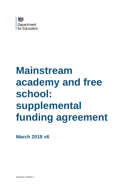

# **Mainstream academy and free school: supplemental funding agreement**

**March 2018 v6**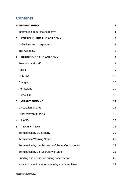# **Contents**

| <b>SUMMARY SHEET</b>                                   | $\overline{\mathbf{4}}$ |
|--------------------------------------------------------|-------------------------|
| Information about the Academy:                         | 4                       |
| <b>ESTABLISHING THE ACADEMY</b><br>1.                  | 8                       |
| Definitions and interpretation                         | 8                       |
| The Academy                                            | 8                       |
| <b>RUNNING OF THE ACADEMY</b><br>2.                    | 9                       |
| <b>Teachers and staff</b>                              | 9                       |
| <b>Pupils</b>                                          | 9                       |
| <b>SEN unit</b>                                        | 10                      |
| Charging                                               | 10                      |
| Admissions                                             | 10                      |
| Curriculum                                             | 12                      |
| 3.<br><b>GRANT FUNDING</b>                             | 14                      |
| <b>Calculation of GAG</b>                              | 14                      |
| Other relevant funding                                 | 15                      |
| <b>LAND</b><br>4.                                      | 16                      |
| 5.<br><b>TERMINATION</b>                               | 21                      |
| Termination by either party                            | 21                      |
| <b>Termination Warning Notice</b>                      | 21                      |
| Termination by the Secretary of State after inspection | 22                      |
| Termination by the Secretary of State                  | 23                      |
| Funding and admission during notice period             | 23                      |
| Notice of intention to terminate by Academy Trust      | 24                      |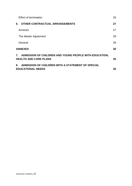| <b>Effect of termination</b>                                                              | 26 |
|-------------------------------------------------------------------------------------------|----|
| <b>OTHER CONTRACTUAL ARRANGEMENTS</b><br>6.                                               | 27 |
| Annexes                                                                                   | 27 |
| The Master Agreement                                                                      | 28 |
| General                                                                                   | 28 |
| <b>ANNEXES</b>                                                                            | 30 |
| 7. ADMISSION OF CHILDREN AND YOUNG PEOPLE WITH EDUCATION,<br><b>HEALTH AND CARE PLANS</b> | 30 |
| ADMISSION OF CHILDREN WITH A STATEMENT OF SPECIAL<br>8.<br><b>EDUCATIONAL NEEDS</b>       | 30 |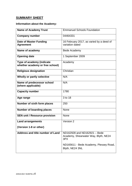# <span id="page-3-0"></span>**SUMMARY SHEET**

# <span id="page-3-1"></span>**Information about the Academy:**

| <b>Name of Academy Trust</b>                                 | <b>Emmanuel Schools Foundation</b>                                          |
|--------------------------------------------------------------|-----------------------------------------------------------------------------|
| <b>Company number</b>                                        | 04464331                                                                    |
| <b>Date of Master Funding</b><br><b>Agreement</b>            | 16 February 2017, as varied by a deed of<br>variation dated                 |
| Name of academy                                              | Bede Academy                                                                |
| <b>Opening date</b>                                          | 1 September 2009                                                            |
| Type of academy (indicate<br>whether academy or free school) | Academy                                                                     |
| <b>Religious designation</b>                                 | Christian                                                                   |
| Wholly or partly selective                                   | N/A                                                                         |
| Name of predecessor school<br>(where applicable)             | N/A                                                                         |
| <b>Capacity number</b>                                       | 1780                                                                        |
| Age range                                                    | 3 to 18                                                                     |
| Number of sixth form places                                  | 250                                                                         |
| <b>Number of boarding places</b>                             | <b>None</b>                                                                 |
| <b>SEN unit / Resource provision</b>                         | <b>None</b>                                                                 |
| <b>Land arrangements</b>                                     | Version 2                                                                   |
| (Version 1-8 or other)                                       |                                                                             |
| Address and title number of Land                             | ND162928 and ND162921 - Bede<br>Academy, Shearwater Way, Blyth, NE24<br>3PX |
|                                                              | ND165611 - Bede Academy, Plessey Road,<br>Blyth, NE24 3NL                   |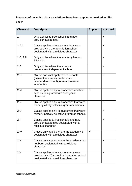# **Please confirm which clause variations have been applied or marked as 'Not used'**

| <b>Clause No.</b> | <b>Descriptor</b>                                                                                                              | <b>Applied</b> | <b>Not used</b> |
|-------------------|--------------------------------------------------------------------------------------------------------------------------------|----------------|-----------------|
| 1.1               | Only applies to free schools and new<br>provision academies                                                                    |                | X               |
| 2.A.1             | Clause applies where an academy was<br>previously a VC or foundation school<br>designated with a religious character           |                | X               |
| 2.C, 2.D          | Only applies where the academy has an<br><b>SEN unit</b>                                                                       |                | X               |
| 2.E               | Only applies where there was a<br>predecessor independent school                                                               |                | X               |
| 2.G               | Clause does not apply to free schools<br>(unless there was a predecessor<br>independent school), or new provision<br>academies |                | X               |
| 2.M               | Clause applies only to academies and free<br>schools designated with a religious<br>character                                  | X              |                 |
| 2.N               | Clause applies only to academies that were<br>formerly wholly selective grammar schools                                        |                | X               |
| 2.0               | Clause applies only to academies that were<br>formerly partially selective grammar schools                                     |                | X               |
| 2.7               | Clause applies to free schools and new<br>provision academies designated with a<br>religious character                         |                | X               |
| 2.W               | Clause only applies where the academy is<br>designated with a religious character                                              | X              |                 |
| 2.X               | Clause only applies where the academy has<br>not been designated with a religious<br>character                                 |                | X               |
| 2.Y               | Clause applies where an academy was<br>previously a VC school or foundation school<br>designated with a religious character    |                | X               |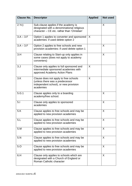| <b>Clause No.</b> | <b>Descriptor</b>                                                                                                                 | <b>Applied</b> | <b>Not used</b> |
|-------------------|-----------------------------------------------------------------------------------------------------------------------------------|----------------|-----------------|
| 2.Yc)             | Sub-clause applies if the academy is<br>designated with a denominational religious<br>character - CE etc. rather than 'Christian' |                | X               |
| $3.A - 3.F$       | Option 1 applies to converter and sponsored<br>academies: if used delete option 2                                                 | X              |                 |
| $3.A - 3.F$       | Option 2 applies to free schools and new<br>provision academies: if used delete option 1                                          |                | X               |
| 3.H               | Clause relating to Start-up only applies in<br>some cases (does not apply to academy<br>converters)                               |                | X               |
| 3. J              | Clause only applies to full sponsored and<br>intermediate sponsored academies with<br>approved Academy Action Plans               | X              |                 |
| 3.K               | Clause does not apply to free schools<br>(unless there was a predecessor<br>independent school), or new provision<br>academies    | X              |                 |
| 5.G.1             | Clause applies only to a boarding<br>academy/free school.                                                                         |                | X               |
| 5.1               | Clause only applies to sponsored<br>academies                                                                                     |                | X               |
| 5.K               | Clause applies to free schools and may be<br>applied to new provision academies                                                   |                | X               |
| 5.L               | Clause applies to free schools and may be<br>applied to new provision academies                                                   |                | X               |
| 5.M               | Clause applies to free schools and may be<br>applied to new provision academies                                                   |                | X               |
| 5.N               | Clause applies to free schools and may be<br>applied to new provision academies                                                   |                | X               |
| 5.0               | Clause applies to free schools and may be<br>applied to new provision academies                                                   |                | X               |
| 6.H               | Clause only applies to schools which are<br>designated with a Church of England or<br>Roman Catholic character                    |                | X               |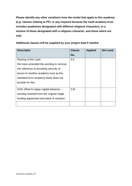**Please identify any other variations from the model that apply to this academy (e.g. clauses relating to PFI, or any required because the multi academy trust includes academies designated with different religious characters, or a mixture of those designated with a religious character, and those which are not):**

**Additional clauses will be supplied by your project lead if needed.**

| <b>Descriptor</b>                         | <b>Clause</b> | <b>Applied</b> | <b>Not used</b> |
|-------------------------------------------|---------------|----------------|-----------------|
|                                           | No.           |                |                 |
| Sharing of the Land                       | 4.K           |                |                 |
| We have amended the wording to remove     |               |                |                 |
| the reference to providing security of    |               |                |                 |
| tenure to another academy trust as the    |               |                |                 |
| standard form academy lease does not      |               |                |                 |
| provide for this.                         |               |                |                 |
|                                           |               |                |                 |
| GAG offset to repay capital advance -     | 3.M           |                |                 |
| wording inserted from the original single |               |                |                 |
| funding agreement and deed of variation.  |               |                |                 |
|                                           |               |                |                 |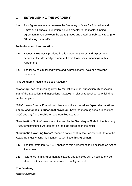# <span id="page-7-0"></span>**1. ESTABLISHING THE ACADEMY**

1.A This Agreement made between the Secretary of State for Education and Emmanuel Schools Foundation is supplemental to the master funding agreement made between the same parties and dated 16 February 2017 (the "**Master Agreement**").

#### <span id="page-7-1"></span>**Definitions and interpretation**

- 1.B Except as expressly provided in this Agreement words and expressions defined in the Master Agreement will have those same meanings in this Agreement.
- 1.C The following capitalised words and expressions will have the following meanings:

"The **Academy**" means the Bede Academy.

**"Coasting"** has the meaning given by regulations under subsection (3) of section 60B of the Education and Inspections Act 2006 in relation to a school to which that section applies.

"**SEN**" means Special Educational Needs and the expressions "**special educational needs**" and "**special educational provision**" have the meaning set out in sections 20(1) and 21(2) of the Children and Families Act 2014.

"**Termination Notice**" means a notice sent by the Secretary of State to the Academy Trust, terminating this Agreement on the date specified in the notice.

"**Termination Warning Notice**" means a notice sent by the Secretary of State to the Academy Trust, stating his intention to terminate this Agreement.

- 1.D The Interpretation Act 1978 applies to this Agreement as it applies to an Act of Parliament.
- 1.E Reference in this Agreement to clauses and annexes will, unless otherwise stated, be to clauses and annexes to this Agreement.

# <span id="page-7-2"></span>**The Academy**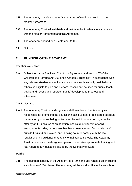- 1.F The Academy is a Mainstream Academy as defined in clause 1.4 of the Master Agreement.
- 1.G The Academy Trust will establish and maintain the Academy in accordance with the Master Agreement and this Agreement.
- 1.H The Academy opened on 1 September 2009.
- 1.I Not used.

# <span id="page-8-0"></span>**2. RUNNING OF THE ACADEMY**

#### <span id="page-8-1"></span>**Teachers and staff**

- 2.A Subject to clause 2.A.2 and 7.A of this Agreement and section 67 of the Children and Families Act 2014, the Academy Trust may, in accordance with any relevant Guidance, employ anyone it believes is suitably qualified or is otherwise eligible to plan and prepare lessons and courses for pupils, teach pupils, and assess and report on pupils' development, progress and attainment.
- 2.A.1 Not used.
- 2.A.2 The Academy Trust must designate a staff member at the Academy as responsible for promoting the educational achievement of registered pupils at the Academy who are being looked after by an LA, or are no longer looked after by an LA because of an adoption, special guardianship or child arrangements order, or because they have been adopted from 'state care' outside England and Wales, and in doing so must comply with the law, regulations and guidance that apply to maintained schools. The Academy Trust must ensure the designated person undertakes appropriate training and has regard to any guidance issued by the Secretary of State.

#### <span id="page-8-2"></span>**Pupils**

2.B The planned capacity of the Academy is 1780 in the age range 3-18, including a sixth form of 250 places. The Academy will be an all ability inclusive school.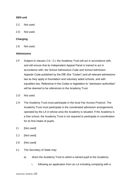#### <span id="page-9-0"></span>**SEN unit**

- 2.C Not used.
- 2.D Not used.

#### <span id="page-9-1"></span>**Charging**

2.E Not used.

#### <span id="page-9-2"></span>**Admissions**

- 2.F Subject to clauses 2.K– 2.L the Academy Trust will act in accordance with, and will ensure that its Independent Appeal Panel is trained to act in accordance with, the School Admissions Code and School Admission Appeals Code published by the DfE (the "Codes") and all relevant admissions law as they apply to foundation and voluntary aided schools, and with equalities law. Reference in the Codes or legislation to "admission authorities" will be deemed to be references to the Academy Trust.
- 2.G Not used.
- 2.H The Academy Trust must participate in the local Fair Access Protocol. The Academy Trust must participate in the coordinated admission arrangements operated by the LA in whose area the Academy is situated. If the Academy is a free school, the Academy Trust is not required to participate in coordination for its first intake of pupils.
- 2.I [Not used]
- 2.J [Not used]
- 2.K [Not used]
- 2.L The Secretary of State may:
	- a) direct the Academy Trust to admit a named pupil to the Academy:
		- i. following an application from an LA including complying with a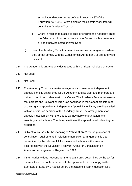school attendance order as defined in section 437 of the Education Act 1996. Before doing so the Secretary of State will consult the Academy Trust; or

- ii. where in relation to a specific child or children the Academy Trust has failed to act in accordance with the Codes or this Agreement or has otherwise acted unlawfully; or
- b) direct the Academy Trust to amend its admission arrangements where they do not comply with the Codes or this Agreement, or are otherwise unlawful.
- 2.M The Academy is an Academy designated with a Christian religious character.
- 2.N Not used.
- 2.O Not used.
- 2.P The Academy Trust must make arrangements to ensure an independent appeals panel is established for the Academy and its clerk and members are trained to act in accordance with the Codes. The Academy Trust must ensure that parents and 'relevant children' (as described in the Codes) are informed of their right to appeal to an Independent Appeal Panel if they are dissatisfied with an admission decision of the Academy Trust. The arrangements for appeals must comply with the Codes as they apply to foundation and voluntary aided schools. The determination of the appeal panel is binding on all parties.
- 2.Q Subject to clause 2.R, the meaning of "**relevant area**" for the purposes of consultation requirements in relation to admission arrangements is that determined by the relevant LA for maintained schools in the area in accordance with the Education (Relevant Areas for Consultation on Admission Arrangements) Regulations 1999.
- 2.R If the Academy does not consider the relevant area determined by the LA for the maintained schools in the area to be appropriate, it must apply to the Secretary of State by 1 August before the academic year in question for a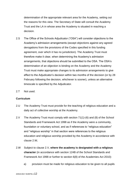determination of the appropriate relevant area for the Academy, setting out the reasons for this view. The Secretary of State will consult the Academy Trust and the LA in whose area the Academy is situated in reaching a decision.

- 2.S The Office of the Schools Adjudicator ("OSA") will consider objections to the Academy's admission arrangements (except objections against any agreed derogations from the provisions of the Codes specified in this funding agreement, over which it has no jurisdiction). The Academy Trust must therefore make it clear, when determining the Academy's admission arrangements, that objections should be submitted to the OSA. The OSA's determination of an objection is binding on the Academy and the Academy Trust must make appropriate changes to its admission arrangements to give effect to the Adjudicator's decision within two months of the decision (or by 28 February following the decision, whichever is sooner), unless an alternative timescale is specified by the Adjudicator.
- 2.T Not used.

# <span id="page-11-0"></span>**Curriculum**

- 2.U The Academy Trust must provide for the teaching of religious education and a daily act of collective worship at the Academy.
- 2.V The Academy Trust must comply with section 71(1)-(6) and (8) of the School Standards and Framework Act 1998 as if the Academy were a community, foundation or voluntary school, and as if references to "religious education" and "religious worship" in that section were references to the religious education and religious worship provided by the Academy in accordance with clause 2.W*.*
- 2.W Subject to clause 2.V, **where the academy is designated with a religious character** (in accordance with section 124B of the School Standards and Framework Act 1998 or further to section 6(8) of the Academies Act 2010):
	- a) provision must be made for religious education to be given to all pupils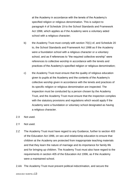at the Academy in accordance with the tenets of the Academy's specified religion or religious denomination. This is subject to paragraph 4 of Schedule 19 to the School Standards and Framework Act 1998, which applies as if the Academy were a voluntary aided school with a religious character;

- b) the Academy Trust must comply with section 70(1) of, and Schedule 20 to, the School Standards and Framework Act 1998 as if the Academy were a foundation school with a religious character or a voluntary school, and as if references to "the required collective worship" were references to collective worship in accordance with the tenets and practices of the Academy's specified religion or religious denomination;
- c) the Academy Trust must ensure that the quality of religious education given to pupils at the Academy and the contents of the Academy's collective worship given in accordance with the tenets and practices of its specific religion or religious denomination are inspected. The inspection must be conducted by a person chosen by the Academy Trust, and the Academy Trust must ensure that the inspection complies with the statutory provisions and regulations which would apply if the Academy were a foundation or voluntary school designated as having a religious character.
- 2.X Not used.
- 2.Y Not used.
- 2.Z The Academy Trust must have regard to any Guidance, further to section 403 of the Education Act 1996, on sex and relationship education to ensure that children at the Academy are protected from inappropriate teaching materials and that they learn the nature of marriage and its importance for family life and for bringing up children. The Academy Trust must also have regard to the requirements in section 405 of the Education Act 1996, as if the Academy were a maintained school.
- 2.AA The Academy Trust must prevent political indoctrination, and secure the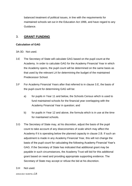balanced treatment of political issues, in line with the requirements for maintained schools set out in the Education Act 1996, and have regard to any Guidance.

# <span id="page-13-0"></span>3. **GRANT FUNDING**

#### <span id="page-13-1"></span>**Calculation of GAG**

- 3A-3D. Not used.
- 3.E The Secretary of State will calculate GAG based on the pupil count at the Academy. In order to calculate GAG for the Academy Financial Year in which the Academy opens, the pupil count will be determined on the same basis as that used by the relevant LA for determining the budget of the maintained Predecessor School.
- 3.F For Academy Financial Years after that referred to in clause 3.E, the basis of the pupil count for determining GAG will be:
	- a) for pupils in Year 11 and below, the Schools Census which is used to fund maintained schools for the financial year overlapping with the Academy Financial Year in question; and
	- b) for pupils in Year 12 and above, the formula which is in use at the time for maintained schools.
- 3.G The Secretary of State may, at his discretion, adjust the basis of the pupil count to take account of any diseconomies of scale which may affect the Academy if it is operating below the planned capacity in clause 2.B. If such an adjustment is made in any Academy Financial Year, this will not change the basis of the pupil count for calculating the following Academy Financial Year's GAG. If the Secretary of State has indicated that additional grant may be payable in such circumstances, the Academy Trust will bid for this additional grant based on need and providing appropriate supporting evidence. The Secretary of State may accept or refuse the bid at his discretion.
- 3.H Not used.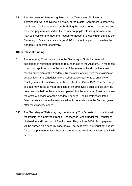3.I The Secretary of State recognises that if a Termination Notice or a Termination Warning Notice is served, or the Master Agreement is otherwise terminated, the intake of new pupils during the notice period may decline and therefore payments based on the number of pupils attending the Academy may be insufficient to meet the Academy's needs. In these circumstances the Secretary of State may pay a larger GAG in the notice period, to enable the Academy to operate effectively.

#### <span id="page-14-0"></span>**Other relevant funding**

- 3.J The Academy Trust may apply to the Secretary of State for financial assistance in relation to proposed redundancies at the Academy. In response to such an application, the Secretary of State may at his discretion agree to meet a proportion of the Academy Trust's costs arising from the inclusion of academies in the schedules to the Redundancy Payments (Continuity of Employment in Local Government) (Modification) Order 1999. The Secretary of State may agree to meet the costs of an employee's prior eligible service, being service before the Academy opened, but the Academy Trust must meet the costs of service after the Academy opened. The Secretary of State's financial assistance in this respect will only be available in the first two years after the Academy opens.
- 3.K The Secretary of State may pay the Academy Trust's costs in connection with the transfer of employees from a Predecessor School under the Transfer of Undertakings (Protection of Employment) Regulations 2006. Such payment will be agreed on a case-by-case basis. The Academy Trust must not budget for such a payment unless the Secretary of State confirms in writing that it will be paid.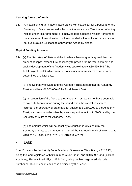# **Carrying forward of funds**

3.L Any additional grant made in accordance with clause 3.I, for a period after the Secretary of State has served a Termination Notice or a Termination Warning Notice under this Agreement, or otherwise terminates the Master Agreement, may be carried forward without limitation or deduction until the circumstances set out in clause 3.I cease to apply or the Academy closes.

# **Capital Funding Advance**

3.M (a) The Secretary of State and the Academy Trust originally agreed that the amount of capital expenditure necessary to provide for the refurbishment and capital development of the Academy was approximately £30,469,446 ("the Total Project Cost"), which sum did not include abnormals which were to be determined at a later date.

(b) The Secretary of State and the Academy Trust agreed that the Academy Trust would bear £1,500,000 of the Total Project Cost.

(c) In recognition of the fact that the Academy Trust would not have been able to pay its full contribution during the period when the capital costs were incurred, the Secretary of State paid an additional £1,500,000 to the Academy Trust, such amount to be offset by a subsequent reduction in GAG paid by the Secretary of State to the Academy Trust.

(d) The amount which will be offset by a reduction in GAG paid by the Secretary of State to the Academy Trust will be £60,000 in each of 2014, 2015, 2016, 2017, 2018, 2019, 2020 and £10,000 in 2021.

# <span id="page-15-0"></span>4. **LAND**

"**Land**" means the land at: (i) Bede Academy, Shearwater Way, Blyth, NE24 3PX, being the land registered with title numbers ND162928 and ND162921 and (ii) Bede Academy, Plessey Road, Blyth, NE24 3NL, being the land registered with title number ND165611 and in each case demised by the Lease.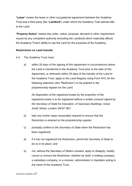"**Lease**" means the lease or other occupational agreement between the Academy Trust and a third party (the "**Landlord**") under which the Academy Trust derives title to the Land.

"**Property Notice**" means any order, notice, proposal, demand or other requirement issued by any competent authority (including the Landlord) which materially affects the Academy Trust's ability to use the Land for the purposes of the Academy.

#### **Restrictions on Land transfer**

4.A The Academy Trust must:

a) within 28 days of the signing of this Agreement in circumstances where the Land is transferred to the Academy Trust prior to the date of this Agreement, or otherwise within 28 days of the transfer of the Land to the Academy Trust, apply to the Land Registry using Form RX1 for the following restriction (the "Restriction") to be entered in the proprietorship register for the Land:

*No disposition of the registered estate by the proprietor of the registered estate is to be registered without a written consent signed by the Secretary of State for Education, of Sanctuary Buildings, Great Smith Street, London SW1P 3BT;*

- b) take any further steps reasonably required to ensure that the Restriction is entered on the proprietorship register;
- c) promptly confirm to the Secretary of State when the Restriction has been registered;
- d) if it has not registered the Restriction, permit the Secretary of State to do so in its place; and
- e) not, without the Secretary of State's consent, apply to disapply, modify, cancel or remove the Restriction, whether by itself, a holding company, a subsidiary company, or a receiver, administrator or liquidator acting in the name of the Academy Trust.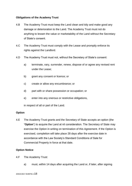#### **Obligations of the Academy Trust**

- 4.B The Academy Trust must keep the Land clean and tidy and make good any damage or deterioration to the Land. The Academy Trust must not do anything to lessen the value or marketability of the Land without the Secretary of State's consent.
- 4.C The Academy Trust must comply with the Lease and promptly enforce its rights against the Landlord.
- 4.D The Academy Trust must not, without the Secretary of State's consent:
	- a) terminate, vary, surrender, renew, dispose of or agree any revised rent under the Lease;
	- b) grant any consent or licence; or
	- c) create or allow any encumbrance; or
	- d) part with or share possession or occupation; or
	- e) enter into any onerous or restrictive obligations,

in respect of all or part of the Land.

#### **Option**

4.E The Academy Trust grants and the Secretary of State accepts an option (the "**Option**") to acquire the Land at nil consideration. The Secretary of State may exercise the Option in writing on termination of this Agreement. If the Option is exercised, completion will take place 28 days after the exercise date in accordance with the Law Society's Standard Conditions of Sale for Commercial Property in force at that date.

# **Option Notice**

- 4.F The Academy Trust:
	- a) must, within 14 days after acquiring the Land or, if later, after signing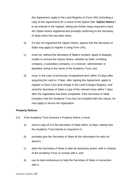this Agreement, apply to the Land Registry on Form AN1 (including a copy of this Agreement) for a notice of the Option (the "**Option Notice**") to be entered in the register, taking any further steps required to have the Option Notice registered and promptly confirming to the Secretary of State when this has been done;

- b) if it has not registered the Option Notice, agrees that the Secretary of State may apply to register it using Form UN1;
- c) must not, without the Secretary of State's consent, apply to disapply, modify or remove the Option Notice, whether by itself, a holding company, a subsidiary company, or a receiver, administrator or liquidator acting in the name of the Academy Trust, and
- d) must, in the case of previously unregistered land, within 14 days after acquiring the Land or, if later, after signing this Agreement, apply to register a Class C(iv) land charge in the Land Charges Registry, and send the Secretary of State a copy of the relevant entry within 7 days after the registration has been completed. If the Secretary of State considers that the Academy Trust has not complied with this clause, he may apply to secure the registration.

# **Property Notices**

- 4.G If the Academy Trust receives a Property Notice, it must:
	- a) send a copy of it to the Secretary of State within 14 days, stating how the Academy Trust intends to respond to it;
	- b) promptly give the Secretary of State all the information he asks for about it;
	- c) allow the Secretary of State to take all necessary action, with or instead of the Academy Trust, to comply with it, and
	- d) use its best endeavours to help the Secretary of State in connection with it.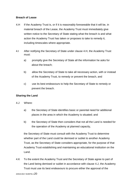# **Breach of Lease**

- 4.H If the Academy Trust is, or if it is reasonably foreseeable that it will be, in material breach of the Lease, the Academy Trust must immediately give written notice to the Secretary of State stating what the breach is and what action the Academy Trust has taken or proposes to take to remedy it, including timescales where appropriate.
- 4.I After notifying the Secretary of State under clause 4.H, the Academy Trust must:
	- a) promptly give the Secretary of State all the information he asks for about the breach;
	- b) allow the Secretary of State to take all necessary action, with or instead of the Academy Trust, to remedy or prevent the breach, and
	- c) use its best endeavours to help the Secretary of State to remedy or prevent the breach.

# **Sharing the Land**

- 4.J Where:
	- a) the Secretary of State identifies basic or parental need for additional places in the area in which the Academy is situated; and
	- b) the Secretary of State then considers that not all the Land is needed for the operation of the Academy at planned capacity,

the Secretary of State must consult with the Academy Trust to determine whether part of the Land could be demised or sublet to another Academy Trust, as the Secretary of State considers appropriate, for the purpose of that Academy Trust establishing and maintaining an educational institution on the Land.

4.K To the extent the Academy Trust and the Secretary of State agree to part of the Land being demised or sublet in accordance with clause 4.J, the Academy Trust must use its best endeavours to procure either the approval of the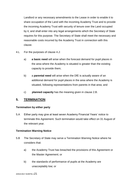Landlord or any necessary amendments to the Lease in order to enable it to share occupation of the Land with the incoming Academy Trust and to provide the incoming Academy Trust with security of tenure over the Land occupied by it, and shall enter into any legal arrangements which the Secretary of State requires for this purpose. The Secretary of State shall meet the necessary and reasonable costs incurred by the Academy Trust in connection with this clause.

- 4.L For the purposes of clause 4.J:
	- a) **a basic need** will arise when the forecast demand for pupil places in the area where the Academy is situated is greater than the existing capacity to provide them;
	- b) a **parental need** will arise when the DfE is actually aware of an additional demand for pupil places in the area where the Academy is situated, following representations from parents in that area; and
	- c) **planned capacity** has the meaning given in clause 2.B.

# <span id="page-20-0"></span>**5. TERMINATION**

#### <span id="page-20-1"></span>**Termination by either party**

5.A Either party may give at least seven Academy Financial Years' notice to terminate this Agreement. Such termination would take effect on 31 August of the relevant year.

# <span id="page-20-2"></span>**Termination Warning Notice**

- 5.B The Secretary of State may serve a Termination Warning Notice where he considers that:
	- a) the Academy Trust has breached the provisions of this Agreement or the Master Agreement; or
	- b) the standards of performance of pupils at the Academy are unacceptably low; or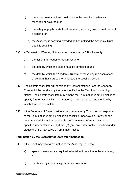- c) there has been a serious breakdown in the way the Academy is managed or governed; or
- d) the safety of pupils or staff is threatened, including due to breakdown of discipline; or
	- e) the Academy is coasting provided he has notified the Academy Trust that it is coasting.
- 5.C A Termination Warning Notice served under clause 5.B will specify:
	- a) the action the Academy Trust must take;
	- b) the date by which the action must be completed; and
	- c) the date by which the Academy Trust must make any representations, or confirm that it agrees to undertake the specified action.
- 5.D The Secretary of State will consider any representations from the Academy Trust which he receives by the date specified in the Termination Warning Notice. The Secretary of State may amend the Termination Warning Notice to specify further action which the Academy Trust must take, and the date by which it must be completed.
- 5.E If the Secretary of State considers that the Academy Trust has not responded to the Termination Warning Notice as specified under clause 5.C(c), or has not completed the action required in the Termination Warning Notice as specified under clauses 5.C(a) and (b) (and any further action specified under clause 5.D) he may serve a Termination Notice.

# <span id="page-21-0"></span>**Termination by the Secretary of State after inspection**

- 5.F If the Chief Inspector gives notice to the Academy Trust that:
	- a) special measures are required to be taken in relation to the Academy; or
	- b) the Academy requires significant improvement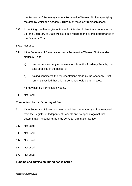the Secretary of State may serve a Termination Warning Notice, specifying the date by which the Academy Trust must make any representations.

- 5.G In deciding whether to give notice of his intention to terminate under clause 5.F, the Secretary of State will have due regard to the overall performance of the Academy Trust.
- 5.G.1 Not used.
- 5.H If the Secretary of State has served a Termination Warning Notice under clause 5.F and:
	- a) has not received any representations from the Academy Trust by the date specified in the notice; or
	- b) having considered the representations made by the Academy Trust remains satisfied that this Agreement should be terminated;

he may serve a Termination Notice.

5.I Not used.

#### <span id="page-22-0"></span>**Termination by the Secretary of State**

- 5.J If the Secretary of State has determined that the Academy will be removed from the Register of Independent Schools and no appeal against that determination is pending, he may serve a Termination Notice.
- 5.K Not used.
- 5.L Not used.
- 5.M Not used.
- 5.N Not used.
- 5.O Not used.

#### <span id="page-22-1"></span>**Funding and admission during notice period**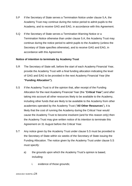- 5.P If the Secretary of State serves a Termination Notice under clause 5.A, the Academy Trust may continue during the notice period to admit pupils to the Academy, and to receive GAG and EAG, in accordance with this Agreement.
- 5.Q If the Secretary of State serves a Termination Warning Notice or a Termination Notice otherwise than under clause 5.A, the Academy Trust may continue during the notice period to admit pupils to the Academy (unless the Secretary of State specifies otherwise), and to receive GAG and EAG, in accordance with this Agreement.

#### <span id="page-23-0"></span>**Notice of intention to terminate by Academy Trust**

- 5.R The Secretary of State will, before the start of each Academy Financial Year, provide the Academy Trust with a final funding allocation indicating the level of GAG and EAG to be provided in the next Academy Financial Year (the **"Funding Allocation").**
- 5.S If the Academy Trust is of the opinion that, after receipt of the Funding Allocation for the next Academy Financial Year (the "**Critical Year**") and after taking into account all other resources likely to be available to the Academy, including other funds that are likely to be available to the Academy from other academies operated by the Academy Trust ("**All Other Resources**"), it is likely that the cost of running the Academy during the Critical Year would cause the Academy Trust to become insolvent (and for this reason only) then the Academy Trust may give written notice of its intention to terminate this Agreement on 31 August before the Critical Year.
- 5.T Any notice given by the Academy Trust under clause 5.S must be provided to the Secretary of State within six weeks of the Secretary of State issuing the Funding Allocation. The notice given by the Academy Trust under clause 5.S must specify:
	- a) the grounds upon which the Academy Trust's opinion is based, including:
		- i. evidence of those grounds;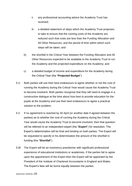- ii. any professional accounting advice the Academy Trust has received;
- iii. a detailed statement of steps which the Academy Trust proposes to take to ensure that the running costs of the Academy are reduced such that costs are less than the Funding Allocation and All Other Resources, and the period of time within which such steps will be taken; and
- b) the shortfall in the Critical Year between the Funding Allocation and All Other Resources expected to be available to the Academy Trust to run the Academy and the projected expenditure on the Academy; and
- c) a detailed budget of income and expenditure for the Academy during the Critical Year (the "**Projected Budget**").
- 5.U Both parties will use their best endeavours to agree whether or not the cost of running the Academy during the Critical Year would cause the Academy Trust to become insolvent. Both parties recognise that they will need to engage in a constructive dialogue at the time about how best to provide education for the pupils at the Academy and use their best endeavours to agree a practical solution to the problem.
- 5.V If no agreement is reached by 30 April (or another date if agreed between the parties) as to whether the cost of running the Academy during the Critical Year would cause the Academy Trust to become insolvent, then that question will be referred to an independent expert (the "**Expert**") for resolution. The Expert's determination will be final and binding on both parties. The Expert will be requested to specify in his determination the amount of the shortfall in funding (the "**Shortfall**").
- 5.W The Expert will be an insolvency practitioner with significant professional experience of educational institutions or academies. If the parties fail to agree upon the appointment of the Expert then the Expert will be appointed by the President of the Institute of Chartered Accountants in England and Wales. The Expert's fees will be borne equally between the parties.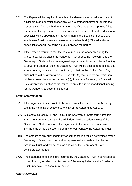- 5.X The Expert will be required in reaching his determination to take account of advice from an educational specialist who is professionally familiar with the issues arising from the budget management of schools. If the parties fail to agree upon the appointment of the educational specialist then the educational specialist will be appointed by the Chairman of the Specialist Schools and Academies Trust (or any successor or equivalent body). The educational specialist's fees will be borne equally between the parties.
- 5.Y If the Expert determines that the cost of running the Academy during the Critical Year would cause the Academy Trust to become insolvent, and the Secretary of State will not have agreed to provide sufficient additional funding to cover the Shortfall, then the Academy Trust will be entitled to terminate this Agreement, by notice expiring on 31 August before the Critical Year. Any such notice will be given within 21 days after (a) the Expert's determination will have been given to the parties or (b), if later, the Secretary of State will have given written notice of his refusal to provide sufficient additional funding for the Academy to cover the Shortfall.

#### <span id="page-25-0"></span>**Effect of termination**

- 5.Z If this Agreement is terminated, the Academy will cease to be an Academy within the meaning of sections 1 and 1A of the Academies Act 2010.
- 5.AA Subject to clauses 5.BB and 5.CC, if the Secretary of State terminates this Agreement under clause 5.A, he will indemnify the Academy Trust. If the Secretary of State terminates this Agreement otherwise than under clause 5.A, he may at his discretion indemnify or compensate the Academy Trust.
- 5.BB The amount of any such indemnity or compensation will be determined by the Secretary of State, having regard to representations made to him by the Academy Trust, and will be paid as and when the Secretary of State considers appropriate.
- 5.CC The categories of expenditure incurred by the Academy Trust in consequence of termination, for which the Secretary of State may indemnify the Academy Trust under clauses 5.AA, may include: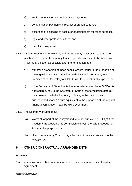- a) staff compensation and redundancy payments;
- b) compensation payments in respect of broken contracts;
- c) expenses of disposing of assets or adapting them for other purposes;
- d) legal and other professional fees; and
- e) dissolution expenses.
- 5.DD If this Agreement is terminated, and the Academy Trust owns capital assets which have been partly or wholly funded by HM Government, the Academy Trust must, as soon as possible after the termination date:
	- a) transfer a proportion of those capital assets, equal to the proportion of the original financial contribution made by HM Government, to a nominee of the Secretary of State to use for educational purposes; or
	- b) if the Secretary of State directs that a transfer under clause 5.DD(a) is not required, pay to the Secretary of State at the termination date (or, by agreement with the Secretary of State, at the date of their subsequent disposal) a sum equivalent to the proportion of the original financial contribution made by HM Government.
- 5.EE The Secretary of State may:
	- a) Waive all or part of the repayment due under sub-clause 5.DD(b) if the Academy Trust obtains his permission to invest the sale proceeds for its charitable purposes; or
	- b) direct the Academy Trust to pay all or part of the sale proceeds to the relevant LA.

# <span id="page-26-0"></span>**6. OTHER CONTRACTUAL ARRANGEMENTS**

#### <span id="page-26-1"></span>**Annexes**

6.A Any annexes to this Agreement form part of and are incorporated into this Agreement.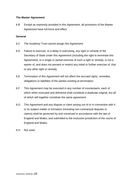#### <span id="page-27-0"></span>**The Master Agreement**

6.B Except as expressly provided in this Agreement, all provisions of the Master Agreement have full force and effect.

#### <span id="page-27-1"></span>**General**

- 6.C The Academy Trust cannot assign this Agreement.
- 6.D Failure to exercise, or a delay in exercising, any right or remedy of the Secretary of State under this Agreement (including the right to terminate this Agreement), or a single or partial exercise of such a right or remedy, is not a waiver of, and does not prevent or restrict any initial or further exercise of, that or any other right or remedy.
- 6.E Termination of this Agreement will not affect the accrued rights, remedies, obligations or liabilities of the parties existing at termination.
- 6.F This Agreement may be executed in any number of counterparts, each of which when executed and delivered shall constitute a duplicate original, but all of which will together constitute the same agreement.
- 6.G This Agreement and any dispute or claim arising out of or in connection with it or its subject matter or formation (including non-contractual disputes or claims) shall be governed by and construed in accordance with the law of England and Wales, and submitted to the exclusive jurisdiction of the courts of England and Wales.
- 6.H Not used.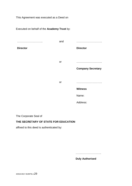This Agreement was executed as a Deed on

Executed on behalf of the **Academy Trust** by: ……………………….. **Director** and ……………………….. **Director** or ……………………….. **Company Secretary** or ……………………….. **Witness** Name: Address:

The Corporate Seal of

# **THE SECRETARY OF STATE FOR EDUCATION**

affixed to this deed is authenticated by:

………………………..

**Duly Authorised**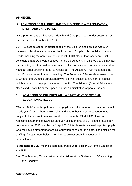# <span id="page-29-0"></span>**ANNEXES**

# <span id="page-29-1"></span>**7. ADMISSION OF CHILDREN AND YOUNG PEOPLE WITH EDUCATION, HEALTH AND CARE PLANS**

"**EHC plan**" means an Education, Health and Care plan made under section 37 of the Children and Families Act 2014.

7.A Except as set out in clause 8 below, the Children and Families Act 2014 imposes duties directly on Academies in respect of pupils with special educational needs, including the admission of pupils with EHC plans. If an Academy Trust considers that a LA should not have named the Academy in an EHC plan, it may ask the Secretary of State to determine whether the LA has acted unreasonably, and to make an order directing the LA to reconsider. The Academy Trust must admit the pupil if such a determination is pending. The Secretary of State's determination as to whether the LA acted unreasonably will be final, subject to any right of appeal which a parent of the pupil may have to the First Tier Tribunal (Special Educational Needs and Disability) or the Upper Tribunal Administrative Appeals Chamber.

# <span id="page-29-2"></span>**8. ADMISSION OF CHILDREN WITH A STATEMENT OF SPECIAL EDUCATIONAL NEEDS**

(Clauses 8.A-8.G only apply where the pupil has a statement of special educational needs (SEN) rather than an EHC plan and where they therefore continue to be subject to the relevant provisions of the Education Act 1996. EHC plans are replacing statements of SEN but although all statements of SEN should have been converted to an EHC plan by the 1 April 2018 this clause is retained to protect pupils who still have a statement of special education need after this date. The detail on the drafting of a statement below is retained to protect pupils in exceptional circumstances.)

"**Statement of SEN**" means a statement made under section 324 of the Education Act 1996.

8.A The Academy Trust must admit all children with a Statement of SEN naming the Academy.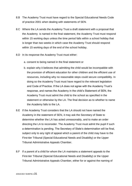- 8.B The Academy Trust must have regard to the Special Educational Needs Code of practice 2001 when dealing with statements of SEN.
- 8.C Where the LA sends the Academy Trust a draft statement with a proposal that the Academy is named in the final statement, the Academy Trust must respond within 15 working days unless the time period falls within a school holiday that is longer than two weeks in which case the Academy Trust should respond within 15 working days of the end of the school holiday.
- 8.D In its response the Academy Trust must either:
	- a. consent to being named in the final statement or
	- b. explain why it believes that admitting the child would be incompatible with the provision of efficient education for other children and the efficient use of resources, including why no reasonable steps could secure compatibility. In doing so the Academy Trust must have regard to the relevant legislation and Code of Practice. If the LA does not agree with the Academy Trust's response, and names the Academy in the child's Statement of SEN, the Academy Trust must admit the child to the school as specified in the statement or otherwise by the LA. The final decision as to whether to name the Academy falls to the LA.
- 8.E If the Academy Trust considers that the LA should not have named the Academy in the statement of SEN, it may ask the Secretary of State to determine whether the LA has acted unreasonably, and to make an order directing the LA to reconsider. The Academy Trust must admit the pupil if such a determination is pending. The Secretary of State's determination will be final, subject only to any right of appeal which a parent of the child may have to the First-tier Tribunal (Special Educational Needs and Disability) or the Upper Tribunal Administrative Appeals Chamber.
- 8.F If a parent of a child for whom the LA maintains a statement appeals to the First-tier Tribunal (Special Educational Needs and Disability) or the Upper Tribunal Administrative Appeals Chamber, either for or against the naming of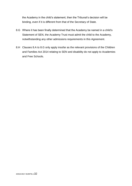the Academy in the child's statement, then the Tribunal's decision will be binding, even if it is different from that of the Secretary of State.

- 8.G Where it has been finally determined that the Academy be named in a child's Statement of SEN, the Academy Trust must admit the child to the Academy, notwithstanding any other admissions requirements in this Agreement.
- 8.H Clauses 8.A to 8.G only apply insofar as the relevant provisions of the Children and Families Act 2014 relating to SEN and disability do not apply to Academies and Free Schools.